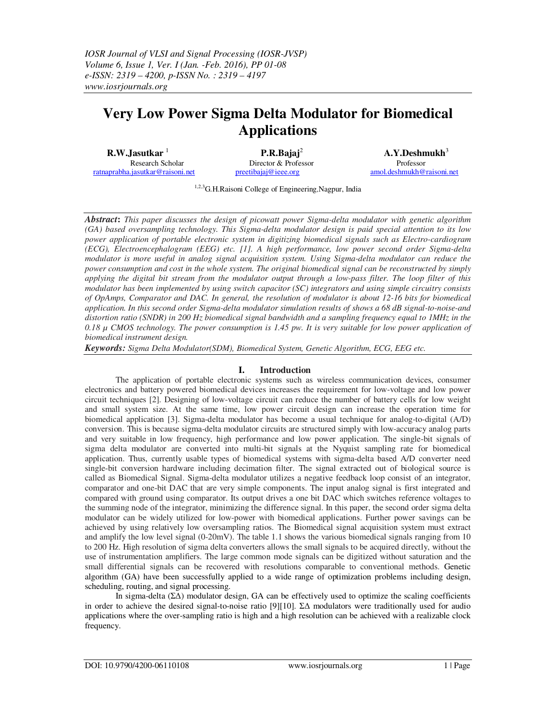# **Very Low Power Sigma Delta Modulator for Biomedical Applications**

**R.W.Jasutkar** <sup>1</sup> ratnaprabha.jasutkar@raisoni.net preetibajaj@ieee.org amol.deshmukh@raisoni.net

 **P.R.Bajaj**<sup>2</sup> Research Scholar Director & Professor Professor

 **A.Y.Deshmukh**<sup>3</sup>

1,2,3G.H.Raisoni College of Engineering,Nagpur, India

*Abstract***:** *This paper discusses the design of picowatt power Sigma-delta modulator with genetic algorithm (GA) based oversampling technology. This Sigma-delta modulator design is paid special attention to its low power application of portable electronic system in digitizing biomedical signals such as Electro-cardiogram (ECG), Electroencephalogram (EEG) etc. [1]. A high performance, low power second order Sigma-delta modulator is more useful in analog signal acquisition system. Using Sigma-delta modulator can reduce the power consumption and cost in the whole system. The original biomedical signal can be reconstructed by simply applying the digital bit stream from the modulator output through a low-pass filter. The loop filter of this modulator has been implemented by using switch capacitor (SC) integrators and using simple circuitry consists of OpAmps, Comparator and DAC. In general, the resolution of modulator is about 12-16 bits for biomedical application. In this second order Sigma-delta modulator simulation results of shows a 68 dB signal-to-noise-and distortion ratio (SNDR) in 200 Hz biomedical signal bandwidth and a sampling frequency equal to 1MHz in the 0.18 µ CMOS technology. The power consumption is 1.45 pw. It is very suitable for low power application of biomedical instrument design.*

*Keywords: Sigma Delta Modulator(SDM), Biomedical System, Genetic Algorithm, ECG, EEG etc.*

# **I. Introduction**

The application of portable electronic systems such as wireless communication devices, consumer electronics and battery powered biomedical devices increases the requirement for low-voltage and low power circuit techniques [2]. Designing of low-voltage circuit can reduce the number of battery cells for low weight and small system size. At the same time, low power circuit design can increase the operation time for biomedical application [3]. Sigma-delta modulator has become a usual technique for analog-to-digital (A/D) conversion. This is because sigma-delta modulator circuits are structured simply with low-accuracy analog parts and very suitable in low frequency, high performance and low power application. The single-bit signals of sigma delta modulator are converted into multi-bit signals at the Nyquist sampling rate for biomedical application. Thus, currently usable types of biomedical systems with sigma-delta based A/D converter need single-bit conversion hardware including decimation filter. The signal extracted out of biological source is called as Biomedical Signal. Sigma-delta modulator utilizes a negative feedback loop consist of an integrator, comparator and one-bit DAC that are very simple components. The input analog signal is first integrated and compared with ground using comparator. Its output drives a one bit DAC which switches reference voltages to the summing node of the integrator, minimizing the difference signal. In this paper, the second order sigma delta modulator can be widely utilized for low-power with biomedical applications. Further power savings can be achieved by using relatively low oversampling ratios. The Biomedical signal acquisition system must extract and amplify the low level signal (0-20mV). The table 1.1 shows the various biomedical signals ranging from 10 to 200 Hz. High resolution of sigma delta converters allows the small signals to be acquired directly, without the use of instrumentation amplifiers. The large common mode signals can be digitized without saturation and the small differential signals can be recovered with resolutions comparable to conventional methods. Genetic algorithm (GA) have been successfully applied to a wide range of optimization problems including design, scheduling, routing, and signal processing.

In sigma-delta (Σ∆) modulator design, GA can be effectively used to optimize the scaling coefficients in order to achieve the desired signal-to-noise ratio [9][10]. Σ∆ modulators were traditionally used for audio applications where the over-sampling ratio is high and a high resolution can be achieved with a realizable clock frequency.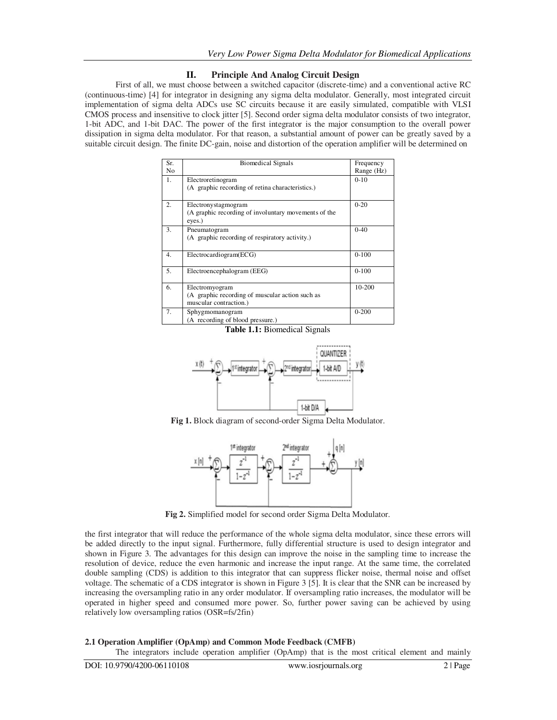## **II. Principle And Analog Circuit Design**

First of all, we must choose between a switched capacitor (discrete-time) and a conventional active RC (continuous-time) [4] for integrator in designing any sigma delta modulator. Generally, most integrated circuit implementation of sigma delta ADCs use SC circuits because it are easily simulated, compatible with VLSI CMOS process and insensitive to clock jitter [5]. Second order sigma delta modulator consists of two integrator, 1-bit ADC, and 1-bit DAC. The power of the first integrator is the major consumption to the overall power dissipation in sigma delta modulator. For that reason, a substantial amount of power can be greatly saved by a suitable circuit design. The finite DC-gain, noise and distortion of the operation amplifier will be determined on

| Sr.<br>No        | <b>Biomedical Signals</b>                                                                   | Frequency<br>Range (Hz) |
|------------------|---------------------------------------------------------------------------------------------|-------------------------|
| 1.               | Electroretinogram<br>(A graphic recording of retina characteristics.)                       | $0 - 10$                |
| $\overline{2}$ . | Electronystagmogram<br>(A graphic recording of involuntary movements of the<br>eyes.)       | $0 - 20$                |
| 3.               | Pneumatogram<br>(A graphic recording of respiratory activity.)                              | $0-40$                  |
| 4.               | Electrocardiogram(ECG)                                                                      | $0-100$                 |
| 5.               | Electroencephalogram (EEG)                                                                  | $0 - 100$               |
| 6.               | Electromyogram<br>(A graphic recording of muscular action such as<br>muscular contraction.) | 10-200                  |
| 7.               | Sphygmomanogram<br>(A recording of blood pressure.)                                         | $0 - 200$               |

**Table 1.1:** Biomedical Signals



**Fig 1.** Block diagram of second-order Sigma Delta Modulator.



**Fig 2.** Simplified model for second order Sigma Delta Modulator.

the first integrator that will reduce the performance of the whole sigma delta modulator, since these errors will be added directly to the input signal. Furthermore, fully differential structure is used to design integrator and shown in Figure 3. The advantages for this design can improve the noise in the sampling time to increase the resolution of device, reduce the even harmonic and increase the input range. At the same time, the correlated double sampling (CDS) is addition to this integrator that can suppress flicker noise, thermal noise and offset voltage. The schematic of a CDS integrator is shown in Figure 3 [5]. It is clear that the SNR can be increased by increasing the oversampling ratio in any order modulator. If oversampling ratio increases, the modulator will be operated in higher speed and consumed more power. So, further power saving can be achieved by using relatively low oversampling ratios (OSR=fs/2fin)

#### **2.1 Operation Amplifier (OpAmp) and Common Mode Feedback (CMFB)**

The integrators include operation amplifier (OpAmp) that is the most critical element and mainly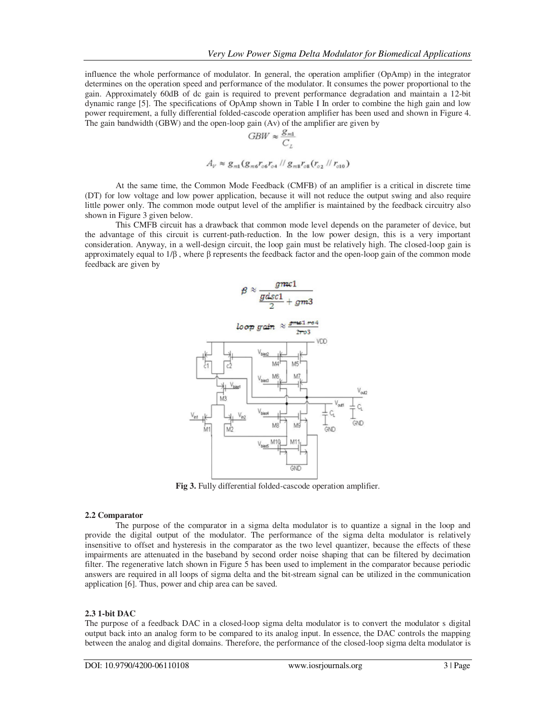influence the whole performance of modulator. In general, the operation amplifier (OpAmp) in the integrator determines on the operation speed and performance of the modulator. It consumes the power proportional to the gain. Approximately 60dB of dc gain is required to prevent performance degradation and maintain a 12-bit dynamic range [5]. The specifications of OpAmp shown in Table I In order to combine the high gain and low power requirement, a fully differential folded-cascode operation amplifier has been used and shown in Figure 4. The gain bandwidth (GBW) and the open-loop gain (Av) of the amplifier are given by

$$
GBW \approx \frac{S_{m1}}{C_L}
$$
  

$$
A_V \approx g_{m1} (g_{m6}r_{06}r_{04}^{}//g_{m8}r_{08} (r_{02}^{}//r_{010}^{2}))
$$

At the same time, the Common Mode Feedback (CMFB) of an amplifier is a critical in discrete time (DT) for low voltage and low power application, because it will not reduce the output swing and also require little power only. The common mode output level of the amplifier is maintained by the feedback circuitry also shown in Figure 3 given below.

This CMFB circuit has a drawback that common mode level depends on the parameter of device, but the advantage of this circuit is current-path-reduction. In the low power design, this is a very important consideration. Anyway, in a well-design circuit, the loop gain must be relatively high. The closed-loop gain is approximately equal to 1/β , where β represents the feedback factor and the open-loop gain of the common mode feedback are given by



**Fig 3.** Fully differential folded-cascode operation amplifier.

#### **2.2 Comparator**

The purpose of the comparator in a sigma delta modulator is to quantize a signal in the loop and provide the digital output of the modulator. The performance of the sigma delta modulator is relatively insensitive to offset and hysteresis in the comparator as the two level quantizer, because the effects of these impairments are attenuated in the baseband by second order noise shaping that can be filtered by decimation filter. The regenerative latch shown in Figure 5 has been used to implement in the comparator because periodic answers are required in all loops of sigma delta and the bit-stream signal can be utilized in the communication application [6]. Thus, power and chip area can be saved.

#### **2.3 1-bit DAC**

The purpose of a feedback DAC in a closed-loop sigma delta modulator is to convert the modulator s digital output back into an analog form to be compared to its analog input. In essence, the DAC controls the mapping between the analog and digital domains. Therefore, the performance of the closed-loop sigma delta modulator is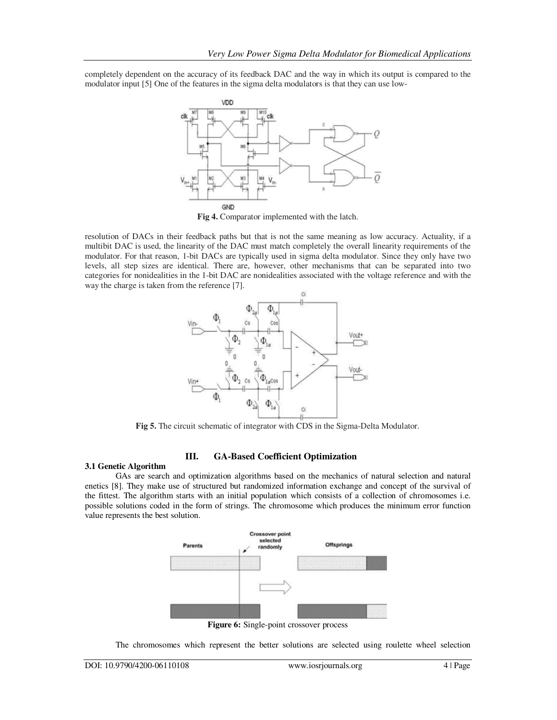completely dependent on the accuracy of its feedback DAC and the way in which its output is compared to the modulator input [5] One of the features in the sigma delta modulators is that they can use low-



**Fig 4.** Comparator implemented with the latch.

resolution of DACs in their feedback paths but that is not the same meaning as low accuracy. Actuality, if a multibit DAC is used, the linearity of the DAC must match completely the overall linearity requirements of the modulator. For that reason, 1-bit DACs are typically used in sigma delta modulator. Since they only have two levels, all step sizes are identical. There are, however, other mechanisms that can be separated into two categories for nonidealities in the 1-bit DAC are nonidealities associated with the voltage reference and with the way the charge is taken from the reference [7].



**Fig 5.** The circuit schematic of integrator with CDS in the Sigma-Delta Modulator.

## **3.1 Genetic Algorithm**

## **III. GA-Based Coefficient Optimization**

GAs are search and optimization algorithms based on the mechanics of natural selection and natural enetics [8]. They make use of structured but randomized information exchange and concept of the survival of the fittest. The algorithm starts with an initial population which consists of a collection of chromosomes i.e. possible solutions coded in the form of strings. The chromosome which produces the minimum error function value represents the best solution.



**Figure 6:** Single-point crossover process

The chromosomes which represent the better solutions are selected using roulette wheel selection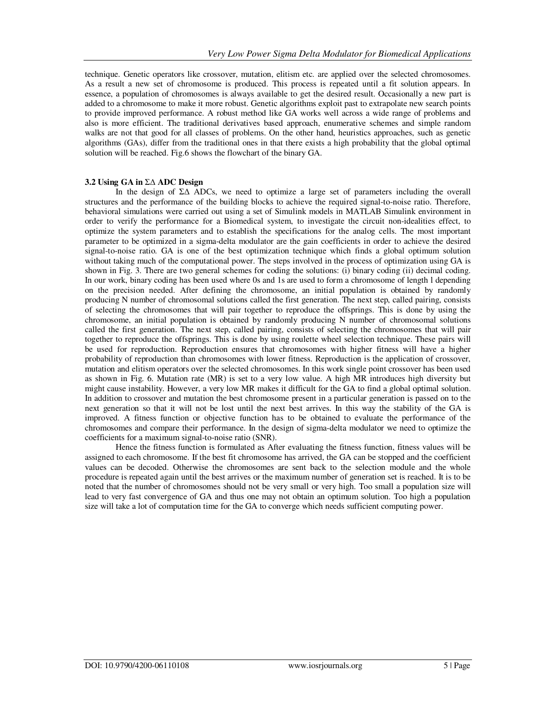technique. Genetic operators like crossover, mutation, elitism etc. are applied over the selected chromosomes. As a result a new set of chromosome is produced. This process is repeated until a fit solution appears. In essence, a population of chromosomes is always available to get the desired result. Occasionally a new part is added to a chromosome to make it more robust. Genetic algorithms exploit past to extrapolate new search points to provide improved performance. A robust method like GA works well across a wide range of problems and also is more efficient. The traditional derivatives based approach, enumerative schemes and simple random walks are not that good for all classes of problems. On the other hand, heuristics approaches, such as genetic algorithms (GAs), differ from the traditional ones in that there exists a high probability that the global optimal solution will be reached. Fig.6 shows the flowchart of the binary GA.

## **3.2 Using GA in** Σ∆ **ADC Design**

In the design of  $\Sigma\Delta$  ADCs, we need to optimize a large set of parameters including the overall structures and the performance of the building blocks to achieve the required signal-to-noise ratio. Therefore, behavioral simulations were carried out using a set of Simulink models in MATLAB Simulink environment in order to verify the performance for a Biomedical system, to investigate the circuit non-idealities effect, to optimize the system parameters and to establish the specifications for the analog cells. The most important parameter to be optimized in a sigma-delta modulator are the gain coefficients in order to achieve the desired signal-to-noise ratio. GA is one of the best optimization technique which finds a global optimum solution without taking much of the computational power. The steps involved in the process of optimization using GA is shown in Fig. 3. There are two general schemes for coding the solutions: (i) binary coding (ii) decimal coding. In our work, binary coding has been used where 0s and 1s are used to form a chromosome of length l depending on the precision needed. After defining the chromosome, an initial population is obtained by randomly producing N number of chromosomal solutions called the first generation. The next step, called pairing, consists of selecting the chromosomes that will pair together to reproduce the offsprings. This is done by using the chromosome, an initial population is obtained by randomly producing N number of chromosomal solutions called the first generation. The next step, called pairing, consists of selecting the chromosomes that will pair together to reproduce the offsprings. This is done by using roulette wheel selection technique. These pairs will be used for reproduction. Reproduction ensures that chromosomes with higher fitness will have a higher probability of reproduction than chromosomes with lower fitness. Reproduction is the application of crossover, mutation and elitism operators over the selected chromosomes. In this work single point crossover has been used as shown in Fig. 6. Mutation rate (MR) is set to a very low value. A high MR introduces high diversity but might cause instability. However, a very low MR makes it difficult for the GA to find a global optimal solution. In addition to crossover and mutation the best chromosome present in a particular generation is passed on to the next generation so that it will not be lost until the next best arrives. In this way the stability of the GA is improved. A fitness function or objective function has to be obtained to evaluate the performance of the chromosomes and compare their performance. In the design of sigma-delta modulator we need to optimize the coefficients for a maximum signal-to-noise ratio (SNR).

Hence the fitness function is formulated as After evaluating the fitness function, fitness values will be assigned to each chromosome. If the best fit chromosome has arrived, the GA can be stopped and the coefficient values can be decoded. Otherwise the chromosomes are sent back to the selection module and the whole procedure is repeated again until the best arrives or the maximum number of generation set is reached. It is to be noted that the number of chromosomes should not be very small or very high. Too small a population size will lead to very fast convergence of GA and thus one may not obtain an optimum solution. Too high a population size will take a lot of computation time for the GA to converge which needs sufficient computing power.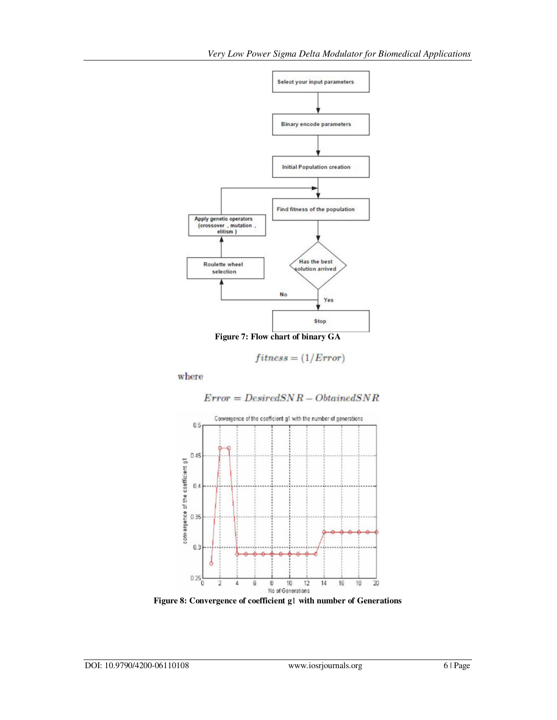

 $fitness = (1/Error)$ 

where





**Figure 8: Convergence of coefficient g**1 **with number of Generations**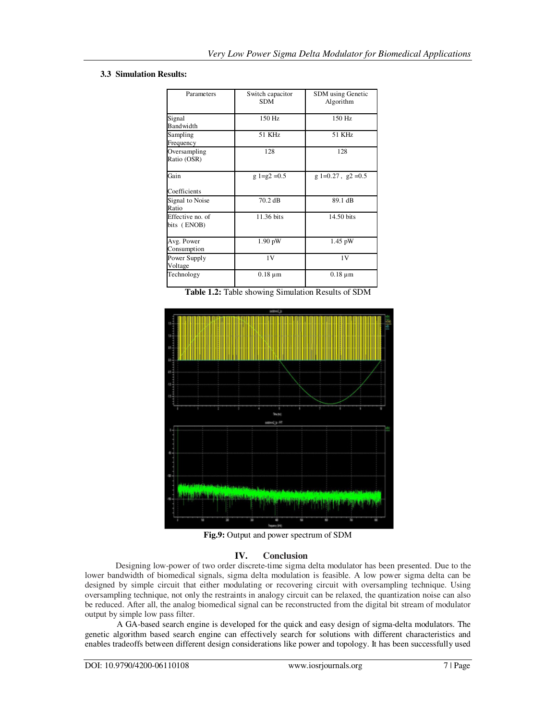# **3.3 Simulation Results:**

| Parameters                      | Switch capacitor<br><b>SDM</b> | SDM using Genetic<br>Algorithm |  |
|---------------------------------|--------------------------------|--------------------------------|--|
| Signal<br>Bandwidth             | 150 Hz                         | 150 Hz                         |  |
| Sampling<br>Frequency           | 51 KHz                         | 51 KHz                         |  |
| Oversampling<br>Ratio (OSR)     | 128                            | 128                            |  |
| Gain<br>Coefficients            | $g = 1 = g2 = 0.5$             | $g 1=0.27$ , $g2=0.5$          |  |
| Signal to Noise<br>Ratio        | 70.2 dB                        | 89.1 dB                        |  |
| Effective no. of<br>bits (ENOB) | 11.36 bits                     | 14.50 bits                     |  |
| Avg. Power<br>Consumption       | 1.90 pW                        | 1.45 pW                        |  |
| Power Supply<br>Voltage         | 1V                             | 1V                             |  |
| Technology                      | $0.18 \mu m$                   | $0.18 \mu m$                   |  |

| Table 1.2: Table showing Simulation Results of SDM |  |  |  |  |  |
|----------------------------------------------------|--|--|--|--|--|
|----------------------------------------------------|--|--|--|--|--|



**Fig.9:** Output and power spectrum of SDM

# **IV. Conclusion**

Designing low-power of two order discrete-time sigma delta modulator has been presented. Due to the lower bandwidth of biomedical signals, sigma delta modulation is feasible. A low power sigma delta can be designed by simple circuit that either modulating or recovering circuit with oversampling technique. Using oversampling technique, not only the restraints in analogy circuit can be relaxed, the quantization noise can also be reduced. After all, the analog biomedical signal can be reconstructed from the digital bit stream of modulator output by simple low pass filter.

A GA-based search engine is developed for the quick and easy design of sigma-delta modulators. The genetic algorithm based search engine can effectively search for solutions with different characteristics and enables tradeoffs between different design considerations like power and topology. It has been successfully used